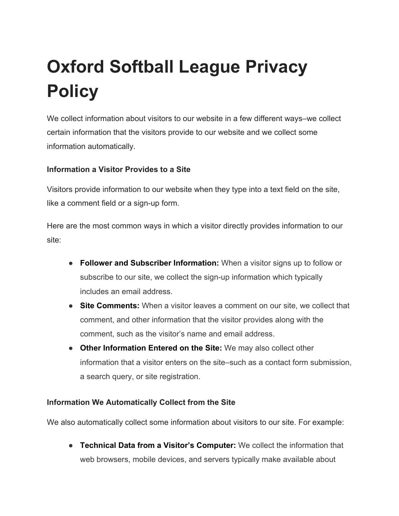# **Oxford Softball League Privacy Policy**

We collect information about visitors to our website in a few different ways–we collect certain information that the visitors provide to our website and we collect some information automatically.

## **Information a Visitor Provides to a Site**

Visitors provide information to our website when they type into a text field on the site, like a comment field or a sign-up form.

Here are the most common ways in which a visitor directly provides information to our site:

- **Follower and Subscriber Information:** When a visitor signs up to follow or subscribe to our site, we collect the sign-up information which typically includes an email address.
- **Site Comments:** When a visitor leaves a comment on our site, we collect that comment, and other information that the visitor provides along with the comment, such as the visitor's name and email address.
- **Other Information Entered on the Site:** We may also collect other information that a visitor enters on the site–such as a contact form submission, a search query, or site registration.

### **Information We Automatically Collect from the Site**

We also automatically collect some information about visitors to our site. For example:

● **Technical Data from a Visitor's Computer:** We collect the information that web browsers, mobile devices, and servers typically make available about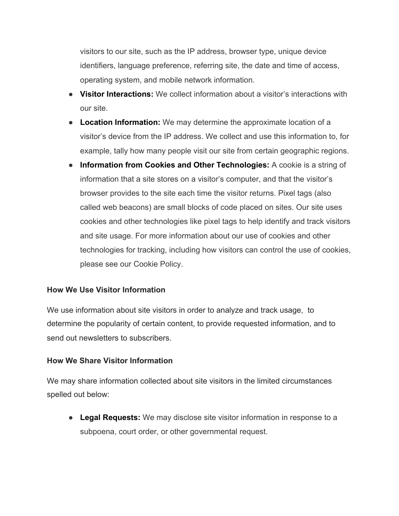visitors to our site, such as the IP address, browser type, unique device identifiers, language preference, referring site, the date and time of access, operating system, and mobile network information.

- **Visitor Interactions:** We collect information about a visitor's interactions with our site.
- **Location Information:** We may determine the approximate location of a visitor's device from the IP address. We collect and use this information to, for example, tally how many people visit our site from certain geographic regions.
- **Information from Cookies and Other Technologies:** A cookie is a string of information that a site stores on a visitor's computer, and that the visitor's browser provides to the site each time the visitor returns. Pixel tags (also called web beacons) are small blocks of code placed on sites. Our site uses cookies and other technologies like pixel tags to help identify and track visitors and site usage. For more information about our use of cookies and other technologies for tracking, including how visitors can control the use of cookies, please see our Cookie Policy.

### **How We Use Visitor Information**

We use information about site visitors in order to analyze and track usage, to determine the popularity of certain content, to provide requested information, and to send out newsletters to subscribers.

### **How We Share Visitor Information**

We may share information collected about site visitors in the limited circumstances spelled out below:

● **Legal Requests:** We may disclose site visitor information in response to a subpoena, court order, or other governmental request.